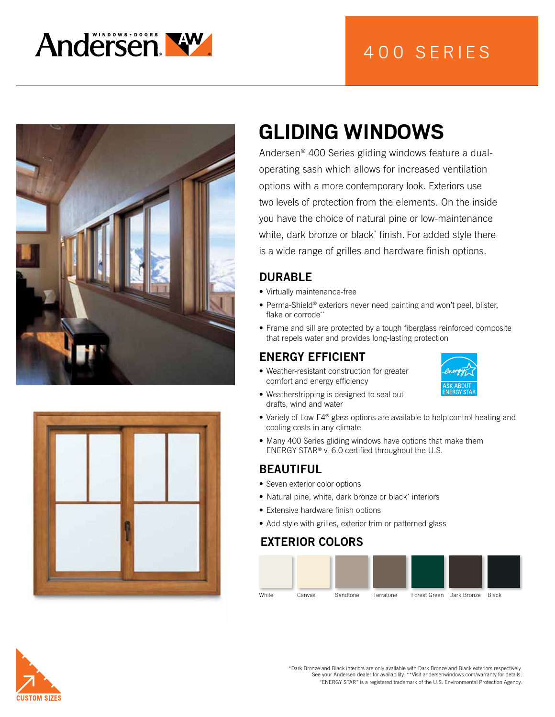





# **GLIDING WINDOWS**

Andersen® 400 Series gliding windows feature a dualoperating sash which allows for increased ventilation options with a more contemporary look. Exteriors use two levels of protection from the elements. On the inside you have the choice of natural pine or low-maintenance white, dark bronze or black\* finish. For added style there is a wide range of grilles and hardware finish options.

#### DURABLE

- Virtually maintenance-free
- Perma-Shield® exteriors never need painting and won't peel, blister, flake or corrode\*\*
- Frame and sill are protected by a tough fiberglass reinforced composite that repels water and provides long-lasting protection

### ENERGY EFFICIENT

- Weather-resistant construction for greater comfort and energy efficiency
- Weatherstripping is designed to seal out drafts, wind and water



- Variety of Low-E4® glass options are available to help control heating and cooling costs in any climate
- Many 400 Series gliding windows have options that make them ENERGY STAR® v. 6.0 certified throughout the U.S.

#### BEAUTIFUL

- Seven exterior color options
- Natural pine, white, dark bronze or black\* interiors
- Extensive hardware finish options
- Add style with grilles, exterior trim or patterned glass

### EXTERIOR COLORS